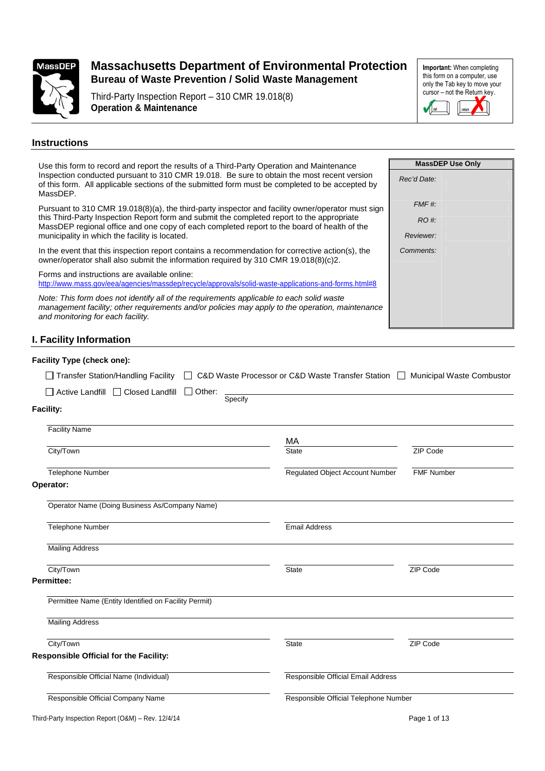

Third-Party Inspection Report – 310 CMR 19.018(8) **Operation & Maintenance**

**Important:** When completing this form on a computer, use only the Tab key to move your cursor – not the Return key. **X**  $\blacksquare$ 

#### **Instructions**

| Use this form to record and report the results of a Third-Party Operation and Maintenance                                                                                                                                        | <b>MassDEP Use Only</b> |
|----------------------------------------------------------------------------------------------------------------------------------------------------------------------------------------------------------------------------------|-------------------------|
| Inspection conducted pursuant to 310 CMR 19.018. Be sure to obtain the most recent version<br>of this form. All applicable sections of the submitted form must be completed to be accepted by<br>MassDEP.                        | Rec'd Date:             |
| Pursuant to 310 CMR 19.018(8)(a), the third-party inspector and facility owner/operator must sign                                                                                                                                | FMF #:                  |
| this Third-Party Inspection Report form and submit the completed report to the appropriate<br>MassDEP regional office and one copy of each completed report to the board of health of the                                        | RO #:                   |
| municipality in which the facility is located.                                                                                                                                                                                   | Reviewer:               |
| In the event that this inspection report contains a recommendation for corrective action(s), the<br>owner/operator shall also submit the information required by 310 CMR 19.018(8)(c)2.                                          | Comments:               |
| Forms and instructions are available online:<br>http://www.mass.gov/eea/agencies/massdep/recycle/approvals/solid-waste-applications-and-forms.html#8                                                                             |                         |
| Note: This form does not identify all of the requirements applicable to each solid waste<br>management facility; other requirements and/or policies may apply to the operation, maintenance<br>and monitoring for each facility. |                         |
| I _Eaoility Information                                                                                                                                                                                                          |                         |

## **I. Facility Information**

| <b>Facility Type (check one):</b>                     |                                                                               |                   |
|-------------------------------------------------------|-------------------------------------------------------------------------------|-------------------|
| Transfer Station/Handling Facility                    | C&D Waste Processor or C&D Waste Transfer Station □ Municipal Waste Combustor |                   |
| □ Active Landfill □ Closed Landfill<br>$\Box$ Other:  |                                                                               |                   |
| Specify<br><b>Facility:</b>                           |                                                                               |                   |
| <b>Facility Name</b>                                  |                                                                               |                   |
| City/Town                                             | MA<br><b>State</b>                                                            | ZIP Code          |
| Telephone Number                                      | <b>Regulated Object Account Number</b>                                        | <b>FMF Number</b> |
| Operator:                                             |                                                                               |                   |
| Operator Name (Doing Business As/Company Name)        |                                                                               |                   |
| <b>Telephone Number</b>                               | <b>Email Address</b>                                                          |                   |
| <b>Mailing Address</b>                                |                                                                               |                   |
| City/Town                                             | <b>State</b>                                                                  | ZIP Code          |
| Permittee:                                            |                                                                               |                   |
| Permittee Name (Entity Identified on Facility Permit) |                                                                               |                   |
| <b>Mailing Address</b>                                |                                                                               |                   |
| City/Town                                             | <b>State</b>                                                                  | ZIP Code          |
| <b>Responsible Official for the Facility:</b>         |                                                                               |                   |
| Responsible Official Name (Individual)                | Responsible Official Email Address                                            |                   |
| Responsible Official Company Name                     | Responsible Official Telephone Number                                         |                   |
| Third-Party Inspection Report (O&M) - Rev. 12/4/14    |                                                                               | Page 1 of 13      |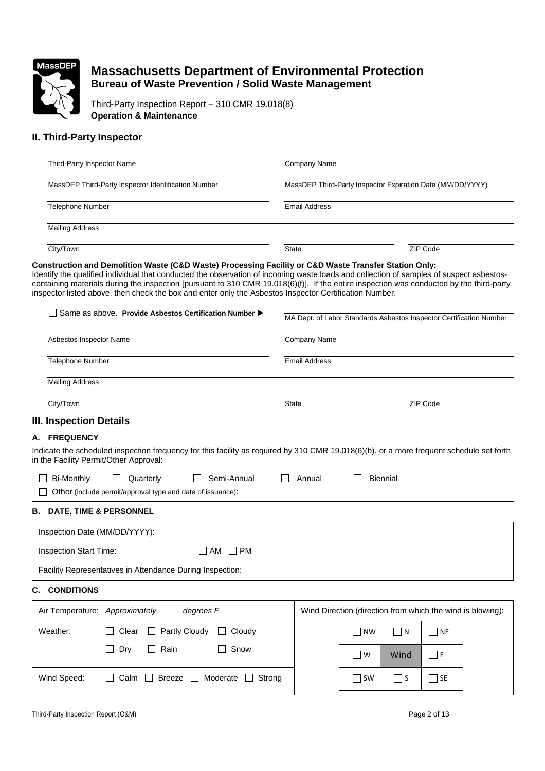

Third-Party Inspection Report – 310 CMR 19.018(8) **Operation & Maintenance**

### **II. Third-Party Inspector**

| Third-Party Inspector Name                          | Company Name                                               |          |  |
|-----------------------------------------------------|------------------------------------------------------------|----------|--|
|                                                     |                                                            |          |  |
| MassDEP Third-Party Inspector Identification Number | MassDEP Third-Party Inspector Expiration Date (MM/DD/YYYY) |          |  |
| <b>Telephone Number</b>                             | Email Address                                              |          |  |
|                                                     |                                                            |          |  |
| <b>Mailing Address</b>                              |                                                            |          |  |
|                                                     |                                                            |          |  |
| City/Town                                           | <b>State</b>                                               | ZIP Code |  |

#### **Construction and Demolition Waste (C&D Waste) Processing Facility or C&D Waste Transfer Station Only:**

Identify the qualified individual that conducted the observation of incoming waste loads and collection of samples of suspect asbestoscontaining materials during the inspection [pursuant to 310 CMR 19.018(6)(f)]. If the entire inspection was conducted by the third-party inspector listed above, then check the box and enter only the Asbestos Inspector Certification Number.

| Same as above. Provide Asbestos Certification Number                                                                                                                               | MA Dept. of Labor Standards Asbestos Inspector Certification Number |                             |                 |           |                                                            |
|------------------------------------------------------------------------------------------------------------------------------------------------------------------------------------|---------------------------------------------------------------------|-----------------------------|-----------------|-----------|------------------------------------------------------------|
| Asbestos Inspector Name                                                                                                                                                            | Company Name                                                        |                             |                 |           |                                                            |
| <b>Telephone Number</b>                                                                                                                                                            | <b>Email Address</b>                                                |                             |                 |           |                                                            |
| <b>Mailing Address</b>                                                                                                                                                             |                                                                     |                             |                 |           |                                                            |
| City/Town                                                                                                                                                                          | <b>State</b>                                                        |                             |                 | ZIP Code  |                                                            |
| III. Inspection Details                                                                                                                                                            |                                                                     |                             |                 |           |                                                            |
| A. FREQUENCY                                                                                                                                                                       |                                                                     |                             |                 |           |                                                            |
| Indicate the scheduled inspection frequency for this facility as required by 310 CMR 19.018(6)(b), or a more frequent schedule set forth<br>in the Facility Permit/Other Approval: |                                                                     |                             |                 |           |                                                            |
| <b>Bi-Monthly</b><br>$\Box$<br>Quarterly<br>Semi-Annual                                                                                                                            | Annual                                                              |                             | <b>Biennial</b> |           |                                                            |
| Other (include permit/approval type and date of issuance):                                                                                                                         |                                                                     |                             |                 |           |                                                            |
| <b>B. DATE, TIME &amp; PERSONNEL</b>                                                                                                                                               |                                                                     |                             |                 |           |                                                            |
| Inspection Date (MM/DD/YYYY):                                                                                                                                                      |                                                                     |                             |                 |           |                                                            |
| <b>Inspection Start Time:</b><br>$\square$ AM<br>$\Box$ PM                                                                                                                         |                                                                     |                             |                 |           |                                                            |
| Facility Representatives in Attendance During Inspection:                                                                                                                          |                                                                     |                             |                 |           |                                                            |
| <b>CONDITIONS</b><br>C.                                                                                                                                                            |                                                                     |                             |                 |           |                                                            |
| degrees F.<br>Air Temperature: Approximately                                                                                                                                       |                                                                     |                             |                 |           | Wind Direction (direction from which the wind is blowing): |
| Partly Cloudy<br>Weather:<br>Clear<br>Cloudy<br>$\Box$<br>$\perp$<br>$\Box$                                                                                                        |                                                                     | <b>NW</b>                   | $\Box$ N        | l Ine     |                                                            |
| Dry<br>Rain<br>Snow                                                                                                                                                                |                                                                     | $\Box$ W                    | Wind            | $\Box$ E  |                                                            |
| Wind Speed:<br>Calm<br>$\Box$<br>Breeze<br>Moderate<br>$\perp$<br>$\perp$                                                                                                          | Strong                                                              | $\overline{\phantom{a}}$ SW | $\Box$ S        | $\Box$ SE |                                                            |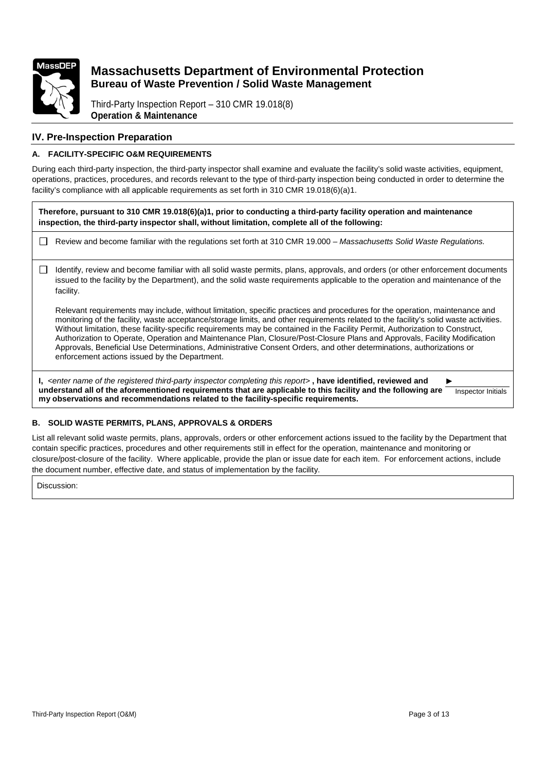

Third-Party Inspection Report – 310 CMR 19.018(8) **Operation & Maintenance**

### **IV. Pre-Inspection Preparation**

### **A. FACILITY-SPECIFIC O&M REQUIREMENTS**

During each third-party inspection, the third-party inspector shall examine and evaluate the facility's solid waste activities, equipment, operations, practices, procedures, and records relevant to the type of third-party inspection being conducted in order to determine the facility's compliance with all applicable requirements as set forth in 310 CMR 19.018(6)(a)1.

**Therefore, pursuant to 310 CMR 19.018(6)(a)1, prior to conducting a third-party facility operation and maintenance inspection, the third-party inspector shall, without limitation, complete all of the following:**

Review and become familiar with the regulations set forth at 310 CMR 19.000 – Massachusetts Solid Waste Regulations.

 $\Box$  Identify, review and become familiar with all solid waste permits, plans, approvals, and orders (or other enforcement documents issued to the facility by the Department), and the solid waste requirements applicable to the operation and maintenance of the facility.

Relevant requirements may include, without limitation, specific practices and procedures for the operation, maintenance and monitoring of the facility, waste acceptance/storage limits, and other requirements related to the facility's solid waste activities. Without limitation, these facility-specific requirements may be contained in the Facility Permit, Authorization to Construct, Authorization to Operate, Operation and Maintenance Plan, Closure/Post-Closure Plans and Approvals, Facility Modification Approvals, Beneficial Use Determinations, Administrative Consent Orders, and other determinations, authorizations or enforcement actions issued by the Department.

**I,** <enter name of the registered third-party inspector completing this report> **, have identified, reviewed and understand all of the aforementioned requirements that are applicable to this facility and the following are my observations and recommendations related to the facility-specific requirements.**  ► Inspector Initials

### **B. SOLID WASTE PERMITS, PLANS, APPROVALS & ORDERS**

List all relevant solid waste permits, plans, approvals, orders or other enforcement actions issued to the facility by the Department that contain specific practices, procedures and other requirements still in effect for the operation, maintenance and monitoring or closure/post-closure of the facility. Where applicable, provide the plan or issue date for each item. For enforcement actions, include the document number, effective date, and status of implementation by the facility.

Discussion: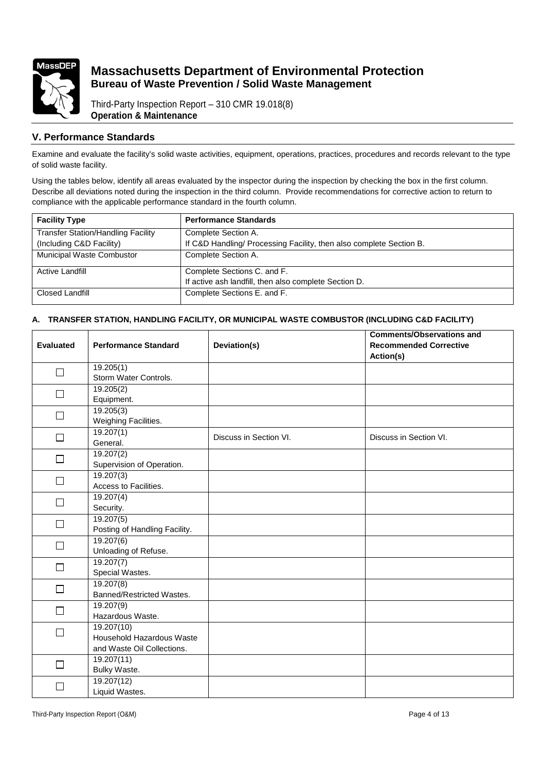

Third-Party Inspection Report – 310 CMR 19.018(8) **Operation & Maintenance**

### **V. Performance Standards**

Examine and evaluate the facility's solid waste activities, equipment, operations, practices, procedures and records relevant to the type of solid waste facility.

Using the tables below, identify all areas evaluated by the inspector during the inspection by checking the box in the first column. Describe all deviations noted during the inspection in the third column. Provide recommendations for corrective action to return to compliance with the applicable performance standard in the fourth column.

| <b>Facility Type</b>                      | <b>Performance Standards</b>                                        |
|-------------------------------------------|---------------------------------------------------------------------|
| <b>Transfer Station/Handling Facility</b> | Complete Section A.                                                 |
| (Including C&D Facility)                  | If C&D Handling/ Processing Facility, then also complete Section B. |
| Municipal Waste Combustor                 | Complete Section A.                                                 |
| <b>Active Landfill</b>                    | Complete Sections C. and F.                                         |
|                                           | If active ash landfill, then also complete Section D.               |
| Closed Landfill                           | Complete Sections E. and F.                                         |

### **A. TRANSFER STATION, HANDLING FACILITY, OR MUNICIPAL WASTE COMBUSTOR (INCLUDING C&D FACILITY)**

|                  |                               |                        | <b>Comments/Observations and</b> |
|------------------|-------------------------------|------------------------|----------------------------------|
| <b>Evaluated</b> | <b>Performance Standard</b>   | Deviation(s)           | <b>Recommended Corrective</b>    |
|                  |                               |                        | Action(s)                        |
|                  | 19.205(1)                     |                        |                                  |
| $\Box$           | Storm Water Controls.         |                        |                                  |
| $\Box$           | 19.205(2)                     |                        |                                  |
|                  | Equipment.                    |                        |                                  |
| $\Box$           | 19.205(3)                     |                        |                                  |
|                  | Weighing Facilities.          |                        |                                  |
| $\Box$           | 19.207(1)                     | Discuss in Section VI. | Discuss in Section VI.           |
|                  | General.                      |                        |                                  |
| $\Box$           | 19.207(2)                     |                        |                                  |
|                  | Supervision of Operation.     |                        |                                  |
| □                | 19.207(3)                     |                        |                                  |
|                  | Access to Facilities.         |                        |                                  |
| $\Box$           | 19.207(4)                     |                        |                                  |
|                  | Security.                     |                        |                                  |
| $\Box$           | 19.207(5)                     |                        |                                  |
|                  | Posting of Handling Facility. |                        |                                  |
| $\Box$           | 19.207(6)                     |                        |                                  |
|                  | Unloading of Refuse.          |                        |                                  |
| $\Box$           | 19.207(7)                     |                        |                                  |
|                  | Special Wastes.               |                        |                                  |
| $\Box$           | 19.207(8)                     |                        |                                  |
|                  | Banned/Restricted Wastes.     |                        |                                  |
| $\Box$           | 19.207(9)                     |                        |                                  |
|                  | Hazardous Waste.              |                        |                                  |
| $\Box$           | 19.207(10)                    |                        |                                  |
|                  | Household Hazardous Waste     |                        |                                  |
|                  | and Waste Oil Collections.    |                        |                                  |
| $\Box$           | 19.207(11)                    |                        |                                  |
|                  | Bulky Waste.                  |                        |                                  |
| $\mathcal{L}$    | 19.207(12)                    |                        |                                  |
|                  | Liquid Wastes.                |                        |                                  |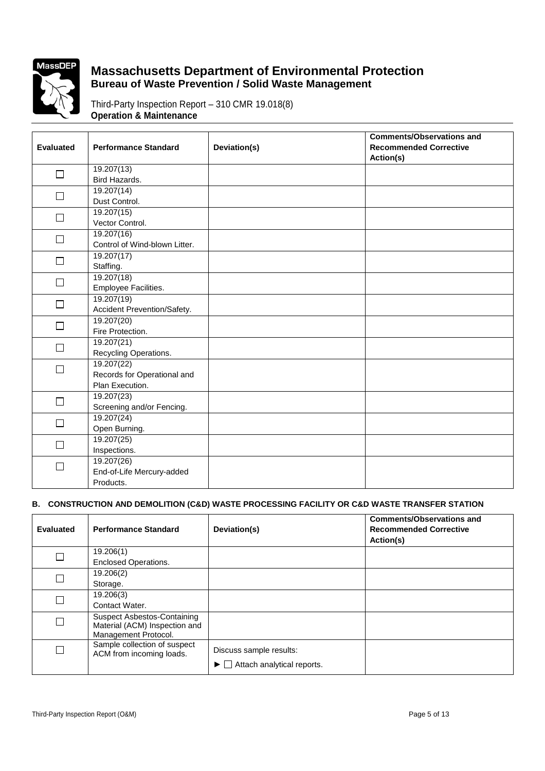

Third-Party Inspection Report – 310 CMR 19.018(8) **Operation & Maintenance**

|                  |                               |              | <b>Comments/Observations and</b> |
|------------------|-------------------------------|--------------|----------------------------------|
| <b>Evaluated</b> | <b>Performance Standard</b>   | Deviation(s) | <b>Recommended Corrective</b>    |
|                  |                               |              | Action(s)                        |
| $\Box$           | 19.207(13)                    |              |                                  |
|                  | Bird Hazards.                 |              |                                  |
| $\Box$           | 19.207(14)                    |              |                                  |
|                  | Dust Control.                 |              |                                  |
| П                | 19.207(15)                    |              |                                  |
|                  | Vector Control.               |              |                                  |
| $\Box$           | 19.207(16)                    |              |                                  |
|                  | Control of Wind-blown Litter. |              |                                  |
| $\Box$           | 19.207(17)                    |              |                                  |
|                  | Staffing.                     |              |                                  |
| $\Box$           | 19.207(18)                    |              |                                  |
|                  | Employee Facilities.          |              |                                  |
| П                | 19.207(19)                    |              |                                  |
|                  | Accident Prevention/Safety.   |              |                                  |
| $\Box$           | 19.207(20)                    |              |                                  |
|                  | Fire Protection.              |              |                                  |
| П                | 19.207(21)                    |              |                                  |
|                  | Recycling Operations.         |              |                                  |
| П                | 19.207(22)                    |              |                                  |
|                  | Records for Operational and   |              |                                  |
|                  | Plan Execution.               |              |                                  |
| $\Box$           | 19.207(23)                    |              |                                  |
|                  | Screening and/or Fencing.     |              |                                  |
| П                | 19.207(24)                    |              |                                  |
|                  | Open Burning.                 |              |                                  |
| $\Box$           | 19.207(25)                    |              |                                  |
|                  | Inspections.                  |              |                                  |
| П                | 19.207(26)                    |              |                                  |
|                  | End-of-Life Mercury-added     |              |                                  |
|                  | Products.                     |              |                                  |

### **B. CONSTRUCTION AND DEMOLITION (C&D) WASTE PROCESSING FACILITY OR C&D WASTE TRANSFER STATION**

| <b>Evaluated</b> | <b>Performance Standard</b>                                                                 | Deviation(s)                                                                     | <b>Comments/Observations and</b><br><b>Recommended Corrective</b><br>Action(s) |
|------------------|---------------------------------------------------------------------------------------------|----------------------------------------------------------------------------------|--------------------------------------------------------------------------------|
|                  | 19.206(1)<br><b>Enclosed Operations.</b>                                                    |                                                                                  |                                                                                |
|                  | 19.206(2)<br>Storage.                                                                       |                                                                                  |                                                                                |
| Г                | 19.206(3)<br>Contact Water.                                                                 |                                                                                  |                                                                                |
| Г                | <b>Suspect Asbestos-Containing</b><br>Material (ACM) Inspection and<br>Management Protocol. |                                                                                  |                                                                                |
| Г                | Sample collection of suspect<br>ACM from incoming loads.                                    | Discuss sample results:<br>$\blacktriangleright \Box$ Attach analytical reports. |                                                                                |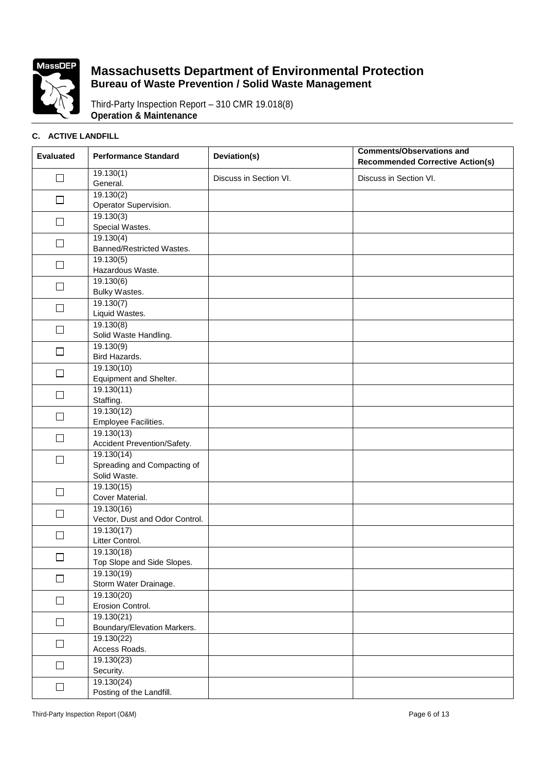

Third-Party Inspection Report – 310 CMR 19.018(8) **Operation & Maintenance**

### **C. ACTIVE LANDFILL**

| <b>Evaluated</b> | <b>Performance Standard</b>                               | Deviation(s)           | <b>Comments/Observations and</b><br><b>Recommended Corrective Action(s)</b> |
|------------------|-----------------------------------------------------------|------------------------|-----------------------------------------------------------------------------|
| $\Box$           | 19.130(1)<br>General.                                     | Discuss in Section VI. | Discuss in Section VI.                                                      |
| $\Box$           | 19.130(2)<br>Operator Supervision.                        |                        |                                                                             |
| $\Box$           | 19.130(3)<br>Special Wastes.                              |                        |                                                                             |
| $\Box$           | 19.130(4)<br>Banned/Restricted Wastes.                    |                        |                                                                             |
| $\Box$           | 19.130(5)<br>Hazardous Waste.                             |                        |                                                                             |
| $\Box$           | 19.130(6)<br>Bulky Wastes.                                |                        |                                                                             |
| □                | 19.130(7)<br>Liquid Wastes.                               |                        |                                                                             |
| $\Box$           | 19.130(8)<br>Solid Waste Handling.                        |                        |                                                                             |
| $\Box$           | 19.130(9)<br>Bird Hazards.                                |                        |                                                                             |
| $\Box$           | 19.130(10)<br>Equipment and Shelter.                      |                        |                                                                             |
| $\Box$           | 19.130(11)<br>Staffing.                                   |                        |                                                                             |
| □                | 19.130(12)<br>Employee Facilities.                        |                        |                                                                             |
| $\Box$           | 19.130(13)<br>Accident Prevention/Safety.                 |                        |                                                                             |
| $\Box$           | 19.130(14)<br>Spreading and Compacting of<br>Solid Waste. |                        |                                                                             |
| $\Box$           | 19.130(15)<br>Cover Material.                             |                        |                                                                             |
| П                | 19.130(16)<br>Vector, Dust and Odor Control.              |                        |                                                                             |
| $\Box$           | 19.130(17)<br>Litter Control.                             |                        |                                                                             |
| $\Box$           | 19.130(18)<br>Top Slope and Side Slopes.                  |                        |                                                                             |
| $\Box$           | 19.130(19)<br>Storm Water Drainage.                       |                        |                                                                             |
| $\Box$           | 19.130(20)<br>Erosion Control.                            |                        |                                                                             |
| $\Box$           | 19.130(21)<br>Boundary/Elevation Markers.                 |                        |                                                                             |
| $\Box$           | 19.130(22)<br>Access Roads.                               |                        |                                                                             |
| □                | 19.130(23)<br>Security.                                   |                        |                                                                             |
| $\Box$           | 19.130(24)<br>Posting of the Landfill.                    |                        |                                                                             |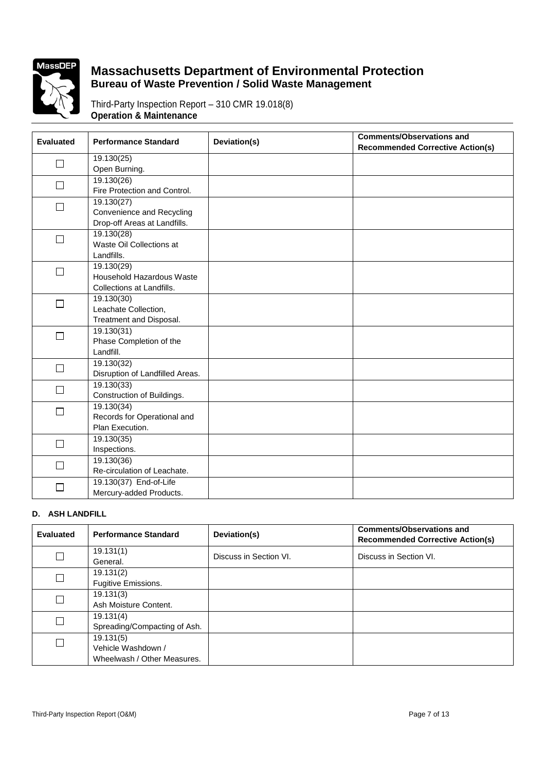

Third-Party Inspection Report – 310 CMR 19.018(8) **Operation & Maintenance**

| <b>Evaluated</b> | <b>Performance Standard</b>     | Deviation(s) | <b>Comments/Observations and</b>        |
|------------------|---------------------------------|--------------|-----------------------------------------|
|                  |                                 |              | <b>Recommended Corrective Action(s)</b> |
| $\Box$           | 19.130(25)                      |              |                                         |
|                  | Open Burning.                   |              |                                         |
| П                | 19.130(26)                      |              |                                         |
|                  | Fire Protection and Control.    |              |                                         |
| П                | 19.130(27)                      |              |                                         |
|                  | Convenience and Recycling       |              |                                         |
|                  | Drop-off Areas at Landfills.    |              |                                         |
| $\Box$           | 19.130(28)                      |              |                                         |
|                  | Waste Oil Collections at        |              |                                         |
|                  | Landfills.                      |              |                                         |
| П                | 19.130(29)                      |              |                                         |
|                  | Household Hazardous Waste       |              |                                         |
|                  | Collections at Landfills.       |              |                                         |
| $\Box$           | 19.130(30)                      |              |                                         |
|                  | Leachate Collection,            |              |                                         |
|                  | Treatment and Disposal.         |              |                                         |
| П                | 19.130(31)                      |              |                                         |
|                  | Phase Completion of the         |              |                                         |
|                  | Landfill.                       |              |                                         |
| $\Box$           | 19.130(32)                      |              |                                         |
|                  | Disruption of Landfilled Areas. |              |                                         |
| $\Box$           | 19.130(33)                      |              |                                         |
|                  | Construction of Buildings.      |              |                                         |
| П                | 19.130(34)                      |              |                                         |
|                  | Records for Operational and     |              |                                         |
|                  | Plan Execution.                 |              |                                         |
| $\Box$           | 19.130(35)                      |              |                                         |
|                  | Inspections.                    |              |                                         |
| J.               | 19.130(36)                      |              |                                         |
|                  | Re-circulation of Leachate.     |              |                                         |
| $\sim$           | 19.130(37) End-of-Life          |              |                                         |
|                  | Mercury-added Products.         |              |                                         |

### **D. ASH LANDFILL**

| <b>Evaluated</b> | <b>Performance Standard</b>  | Deviation(s)           | <b>Comments/Observations and</b><br><b>Recommended Corrective Action(s)</b> |
|------------------|------------------------------|------------------------|-----------------------------------------------------------------------------|
| $\Box$           | 19.131(1)<br>General.        | Discuss in Section VI. | Discuss in Section VI.                                                      |
| $\Box$           | 19.131(2)                    |                        |                                                                             |
|                  | Fugitive Emissions.          |                        |                                                                             |
|                  | 19.131(3)                    |                        |                                                                             |
|                  | Ash Moisture Content.        |                        |                                                                             |
| $\Box$           | 19.131(4)                    |                        |                                                                             |
|                  | Spreading/Compacting of Ash. |                        |                                                                             |
| $\Box$           | 19.131(5)                    |                        |                                                                             |
|                  | Vehicle Washdown /           |                        |                                                                             |
|                  | Wheelwash / Other Measures.  |                        |                                                                             |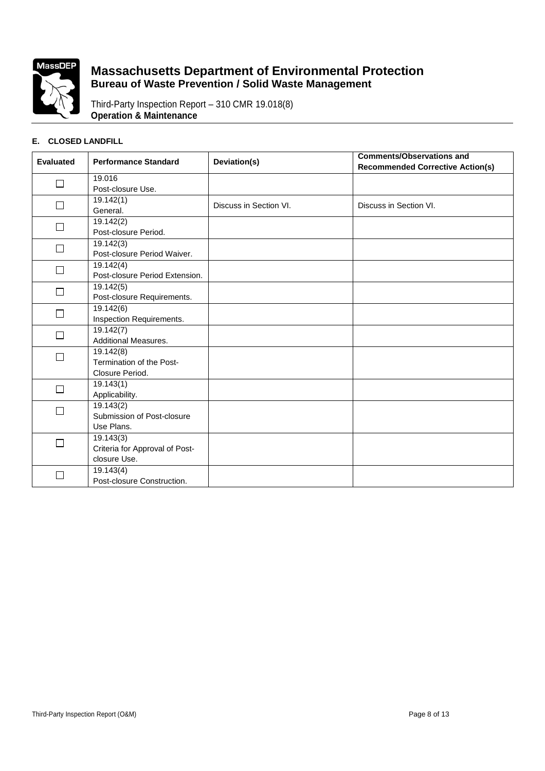

Third-Party Inspection Report – 310 CMR 19.018(8) **Operation & Maintenance**

#### **E. CLOSED LANDFILL**

| <b>Evaluated</b> | <b>Performance Standard</b>    | Deviation(s)           | <b>Comments/Observations and</b><br><b>Recommended Corrective Action(s)</b> |
|------------------|--------------------------------|------------------------|-----------------------------------------------------------------------------|
| $\Box$           | 19.016                         |                        |                                                                             |
|                  | Post-closure Use.              |                        |                                                                             |
|                  | 19.142(1)                      | Discuss in Section VI. | Discuss in Section VI.                                                      |
|                  | General.                       |                        |                                                                             |
| П                | 19.142(2)                      |                        |                                                                             |
|                  | Post-closure Period.           |                        |                                                                             |
|                  | 19.142(3)                      |                        |                                                                             |
|                  | Post-closure Period Waiver.    |                        |                                                                             |
| □                | 19.142(4)                      |                        |                                                                             |
|                  | Post-closure Period Extension. |                        |                                                                             |
| □                | 19.142(5)                      |                        |                                                                             |
|                  | Post-closure Requirements.     |                        |                                                                             |
|                  | 19.142(6)                      |                        |                                                                             |
|                  | Inspection Requirements.       |                        |                                                                             |
| П                | 19.142(7)                      |                        |                                                                             |
|                  | <b>Additional Measures.</b>    |                        |                                                                             |
|                  | 19.142(8)                      |                        |                                                                             |
|                  | Termination of the Post-       |                        |                                                                             |
|                  | Closure Period.                |                        |                                                                             |
| П                | 19.143(1)                      |                        |                                                                             |
|                  | Applicability.                 |                        |                                                                             |
|                  | 19.143(2)                      |                        |                                                                             |
|                  | Submission of Post-closure     |                        |                                                                             |
|                  | Use Plans.                     |                        |                                                                             |
| П                | 19.143(3)                      |                        |                                                                             |
|                  | Criteria for Approval of Post- |                        |                                                                             |
|                  | closure Use.                   |                        |                                                                             |
|                  | 19.143(4)                      |                        |                                                                             |
|                  | Post-closure Construction.     |                        |                                                                             |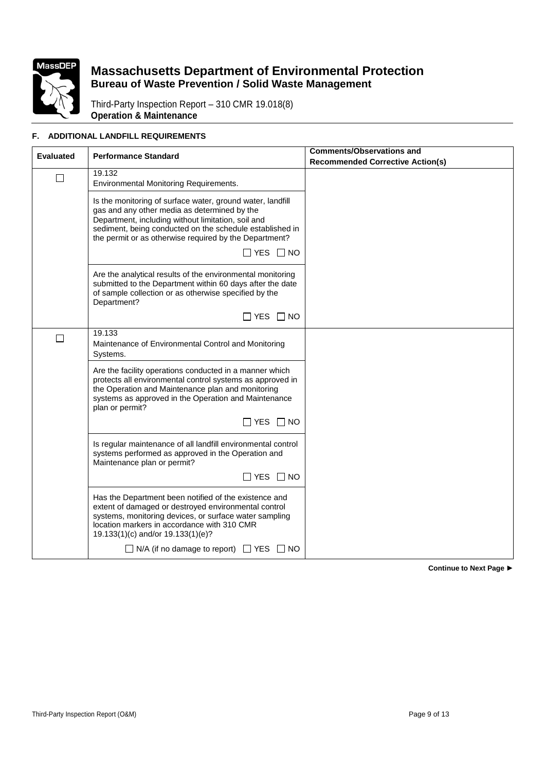

Third-Party Inspection Report – 310 CMR 19.018(8) **Operation & Maintenance**

### **F. ADDITIONAL LANDFILL REQUIREMENTS**

| <b>Evaluated</b> | <b>Performance Standard</b>                                                                                                                                                                                                                                                            | <b>Comments/Observations and</b><br><b>Recommended Corrective Action(s)</b> |
|------------------|----------------------------------------------------------------------------------------------------------------------------------------------------------------------------------------------------------------------------------------------------------------------------------------|-----------------------------------------------------------------------------|
| $\mathsf{L}$     | 19.132<br><b>Environmental Monitoring Requirements.</b>                                                                                                                                                                                                                                |                                                                             |
|                  | Is the monitoring of surface water, ground water, landfill<br>gas and any other media as determined by the<br>Department, including without limitation, soil and<br>sediment, being conducted on the schedule established in<br>the permit or as otherwise required by the Department? |                                                                             |
|                  | $\Box$ YES $\Box$ NO                                                                                                                                                                                                                                                                   |                                                                             |
|                  | Are the analytical results of the environmental monitoring<br>submitted to the Department within 60 days after the date<br>of sample collection or as otherwise specified by the<br>Department?                                                                                        |                                                                             |
|                  | $\Box$ YES $\Box$ NO                                                                                                                                                                                                                                                                   |                                                                             |
| $\mathsf{L}$     | 19.133<br>Maintenance of Environmental Control and Monitoring<br>Systems.                                                                                                                                                                                                              |                                                                             |
|                  | Are the facility operations conducted in a manner which<br>protects all environmental control systems as approved in<br>the Operation and Maintenance plan and monitoring<br>systems as approved in the Operation and Maintenance<br>plan or permit?                                   |                                                                             |
|                  | $\Box$ YES $\Box$ NO                                                                                                                                                                                                                                                                   |                                                                             |
|                  | Is regular maintenance of all landfill environmental control<br>systems performed as approved in the Operation and<br>Maintenance plan or permit?                                                                                                                                      |                                                                             |
|                  | $\Box$ YES $\Box$ NO                                                                                                                                                                                                                                                                   |                                                                             |
|                  | Has the Department been notified of the existence and<br>extent of damaged or destroyed environmental control<br>systems, monitoring devices, or surface water sampling<br>location markers in accordance with 310 CMR<br>19.133(1)(c) and/or 19.133(1)(e)?                            |                                                                             |
|                  | $\Box$ N/A (if no damage to report) $\Box$ YES $\Box$ NO                                                                                                                                                                                                                               |                                                                             |

**Continue to Next Page ►**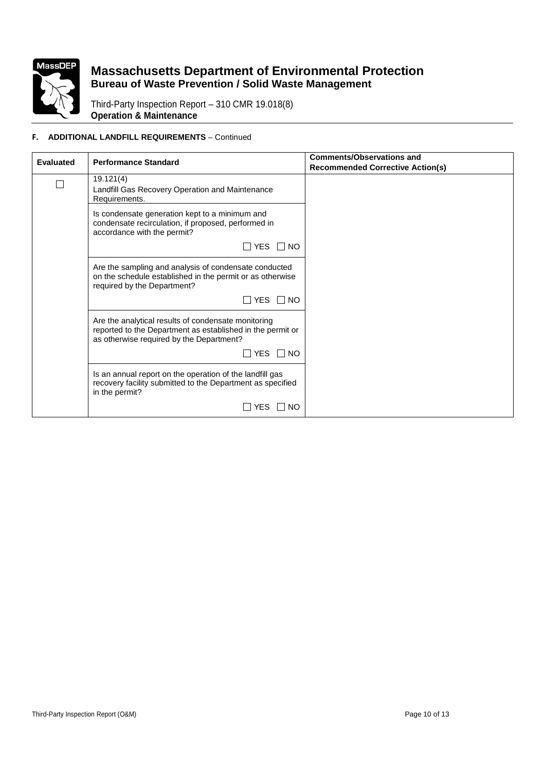

Third-Party Inspection Report – 310 CMR 19.018(8) **Operation & Maintenance**

### **F. ADDITIONAL LANDFILL REQUIREMENTS** – Continued

| <b>Evaluated</b> | <b>Performance Standard</b>                                                                                                                                   | <b>Comments/Observations and</b>        |
|------------------|---------------------------------------------------------------------------------------------------------------------------------------------------------------|-----------------------------------------|
|                  |                                                                                                                                                               | <b>Recommended Corrective Action(s)</b> |
| $\Box$           | 19.121(4)<br>Landfill Gas Recovery Operation and Maintenance<br>Requirements.                                                                                 |                                         |
|                  | Is condensate generation kept to a minimum and<br>condensate recirculation, if proposed, performed in<br>accordance with the permit?                          |                                         |
|                  | $\Box$ YES $\Box$ NO                                                                                                                                          |                                         |
|                  | Are the sampling and analysis of condensate conducted<br>on the schedule established in the permit or as otherwise<br>required by the Department?             |                                         |
|                  | $\Box$ YES $\Box$ NO                                                                                                                                          |                                         |
|                  | Are the analytical results of condensate monitoring<br>reported to the Department as established in the permit or<br>as otherwise required by the Department? |                                         |
|                  | ΠYES ΠNO                                                                                                                                                      |                                         |
|                  | Is an annual report on the operation of the landfill gas<br>recovery facility submitted to the Department as specified<br>in the permit?                      |                                         |
|                  | YES<br>$\Box$ NO                                                                                                                                              |                                         |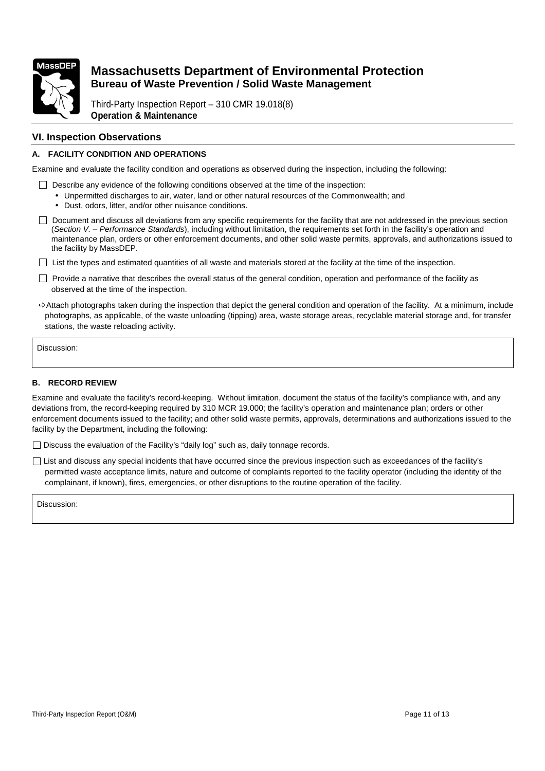

Third-Party Inspection Report – 310 CMR 19.018(8) **Operation & Maintenance**

#### **VI. Inspection Observations**

#### **A. FACILITY CONDITION AND OPERATIONS**

Examine and evaluate the facility condition and operations as observed during the inspection, including the following:

- $\Box$  Describe any evidence of the following conditions observed at the time of the inspection:
	- Unpermitted discharges to air, water, land or other natural resources of the Commonwealth; and
	- Dust, odors, litter, and/or other nuisance conditions.

 Document and discuss all deviations from any specific requirements for the facility that are not addressed in the previous section (Section V. – Performance Standards), including without limitation, the requirements set forth in the facility's operation and maintenance plan, orders or other enforcement documents, and other solid waste permits, approvals, and authorizations issued to the facility by MassDEP.

 $\Box$  List the types and estimated quantities of all waste and materials stored at the facility at the time of the inspection.

- $\Box$  Provide a narrative that describes the overall status of the general condition, operation and performance of the facility as observed at the time of the inspection.
- $\Rightarrow$  Attach photographs taken during the inspection that depict the general condition and operation of the facility. At a minimum, include photographs, as applicable, of the waste unloading (tipping) area, waste storage areas, recyclable material storage and, for transfer stations, the waste reloading activity.

Discussion:

#### **B. RECORD REVIEW**

Examine and evaluate the facility's record-keeping. Without limitation, document the status of the facility's compliance with, and any deviations from, the record-keeping required by 310 MCR 19.000; the facility's operation and maintenance plan; orders or other enforcement documents issued to the facility; and other solid waste permits, approvals, determinations and authorizations issued to the facility by the Department, including the following:

□ Discuss the evaluation of the Facility's "daily log" such as, daily tonnage records.

 $\Box$  List and discuss any special incidents that have occurred since the previous inspection such as exceedances of the facility's permitted waste acceptance limits, nature and outcome of complaints reported to the facility operator (including the identity of the complainant, if known), fires, emergencies, or other disruptions to the routine operation of the facility.

Discussion: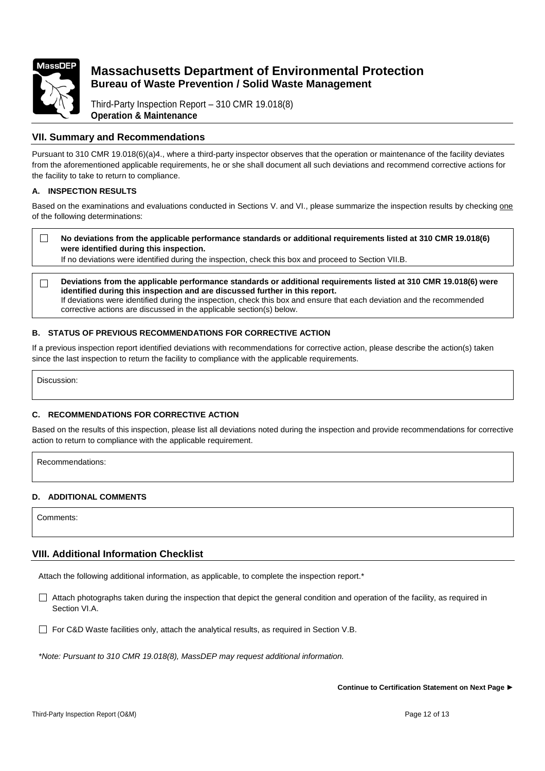

Third-Party Inspection Report – 310 CMR 19.018(8) **Operation & Maintenance**

### **VII. Summary and Recommendations**

Pursuant to 310 CMR 19.018(6)(a)4., where a third-party inspector observes that the operation or maintenance of the facility deviates from the aforementioned applicable requirements, he or she shall document all such deviations and recommend corrective actions for the facility to take to return to compliance.

#### **A. INSPECTION RESULTS**

Based on the examinations and evaluations conducted in Sections V. and VI., please summarize the inspection results by checking one of the following determinations:

 $\Box$ **No deviations from the applicable performance standards or additional requirements listed at 310 CMR 19.018(6) were identified during this inspection.** 

If no deviations were identified during the inspection, check this box and proceed to Section VII.B.

**Deviations from the applicable performance standards or additional requirements listed at 310 CMR 19.018(6) were**   $\Box$ **identified during this inspection and are discussed further in this report.**  If deviations were identified during the inspection, check this box and ensure that each deviation and the recommended corrective actions are discussed in the applicable section(s) below.

#### **B. STATUS OF PREVIOUS RECOMMENDATIONS FOR CORRECTIVE ACTION**

If a previous inspection report identified deviations with recommendations for corrective action, please describe the action(s) taken since the last inspection to return the facility to compliance with the applicable requirements.

Discussion:

#### **C. RECOMMENDATIONS FOR CORRECTIVE ACTION**

Based on the results of this inspection, please list all deviations noted during the inspection and provide recommendations for corrective action to return to compliance with the applicable requirement.

Recommendations:

#### **D. ADDITIONAL COMMENTS**

Comments:

### **VIII. Additional Information Checklist**

Attach the following additional information, as applicable, to complete the inspection report.\*

 $\Box$  Attach photographs taken during the inspection that depict the general condition and operation of the facility, as required in Section VI.A.

 $\Box$  For C&D Waste facilities only, attach the analytical results, as required in Section V.B.

\*Note: Pursuant to 310 CMR 19.018(8), MassDEP may request additional information.

**Continue to Certification Statement on Next Page ►**